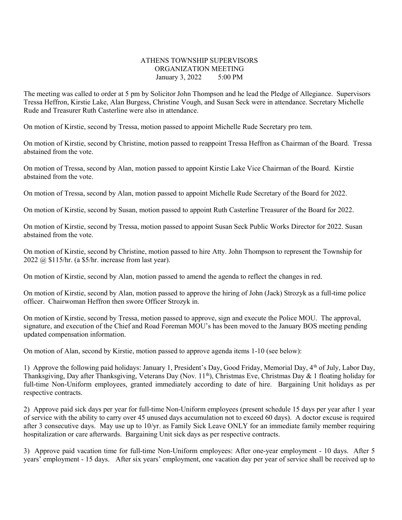## ATHENS TOWNSHIP SUPERVISORS ORGANIZATION MEETING January 3, 2022 5:00 PM

The meeting was called to order at 5 pm by Solicitor John Thompson and he lead the Pledge of Allegiance. Supervisors Tressa Heffron, Kirstie Lake, Alan Burgess, Christine Vough, and Susan Seck were in attendance. Secretary Michelle Rude and Treasurer Ruth Casterline were also in attendance.

On motion of Kirstie, second by Tressa, motion passed to appoint Michelle Rude Secretary pro tem.

On motion of Kirstie, second by Christine, motion passed to reappoint Tressa Heffron as Chairman of the Board. Tressa abstained from the vote.

On motion of Tressa, second by Alan, motion passed to appoint Kirstie Lake Vice Chairman of the Board. Kirstie abstained from the vote.

On motion of Tressa, second by Alan, motion passed to appoint Michelle Rude Secretary of the Board for 2022.

On motion of Kirstie, second by Susan, motion passed to appoint Ruth Casterline Treasurer of the Board for 2022.

On motion of Kirstie, second by Tressa, motion passed to appoint Susan Seck Public Works Director for 2022. Susan abstained from the vote.

On motion of Kirstie, second by Christine, motion passed to hire Atty. John Thompson to represent the Township for 2022 @ \$115/hr. (a \$5/hr. increase from last year).

On motion of Kirstie, second by Alan, motion passed to amend the agenda to reflect the changes in red.

On motion of Kirstie, second by Alan, motion passed to approve the hiring of John (Jack) Strozyk as a full-time police officer. Chairwoman Heffron then swore Officer Strozyk in.

On motion of Kirstie, second by Tressa, motion passed to approve, sign and execute the Police MOU. The approval, signature, and execution of the Chief and Road Foreman MOU's has been moved to the January BOS meeting pending updated compensation information.

On motion of Alan, second by Kirstie, motion passed to approve agenda items 1-10 (see below):

1) Approve the following paid holidays: January 1, President's Day, Good Friday, Memorial Day, 4<sup>th</sup> of July, Labor Day, Thanksgiving, Day after Thanksgiving, Veterans Day (Nov.  $11^{th}$ ), Christmas Eve, Christmas Day & 1 floating holiday for full-time Non-Uniform employees, granted immediately according to date of hire. Bargaining Unit holidays as per respective contracts.

2) Approve paid sick days per year for full-time Non-Uniform employees (present schedule 15 days per year after 1 year of service with the ability to carry over 45 unused days accumulation not to exceed 60 days). A doctor excuse is required after 3 consecutive days. May use up to 10/yr. as Family Sick Leave ONLY for an immediate family member requiring hospitalization or care afterwards. Bargaining Unit sick days as per respective contracts.

3) Approve paid vacation time for full-time Non-Uniform employees: After one-year employment - 10 days. After 5 years' employment - 15 days. After six years' employment, one vacation day per year of service shall be received up to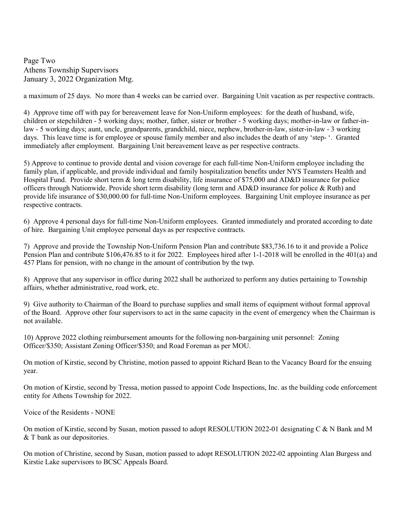Page Two Athens Township Supervisors January 3, 2022 Organization Mtg.

a maximum of 25 days. No more than 4 weeks can be carried over. Bargaining Unit vacation as per respective contracts.

4) Approve time off with pay for bereavement leave for Non-Uniform employees: for the death of husband, wife, children or stepchildren - 5 working days; mother, father, sister or brother - 5 working days; mother-in-law or father-inlaw - 5 working days; aunt, uncle, grandparents, grandchild, niece, nephew, brother-in-law, sister-in-law - 3 working days. This leave time is for employee or spouse family member and also includes the death of any 'step- '. Granted immediately after employment. Bargaining Unit bereavement leave as per respective contracts.

5) Approve to continue to provide dental and vision coverage for each full-time Non-Uniform employee including the family plan, if applicable, and provide individual and family hospitalization benefits under NYS Teamsters Health and Hospital Fund. Provide short term & long term disability, life insurance of \$75,000 and AD&D insurance for police officers through Nationwide. Provide short term disability (long term and AD&D insurance for police & Ruth) and provide life insurance of \$30,000.00 for full-time Non-Uniform employees. Bargaining Unit employee insurance as per respective contracts.

6) Approve 4 personal days for full-time Non-Uniform employees. Granted immediately and prorated according to date of hire. Bargaining Unit employee personal days as per respective contracts.

7) Approve and provide the Township Non-Uniform Pension Plan and contribute \$83,736.16 to it and provide a Police Pension Plan and contribute \$106,476.85 to it for 2022. Employees hired after 1-1-2018 will be enrolled in the 401(a) and 457 Plans for pension, with no change in the amount of contribution by the twp.

8) Approve that any supervisor in office during 2022 shall be authorized to perform any duties pertaining to Township affairs, whether administrative, road work, etc.

9) Give authority to Chairman of the Board to purchase supplies and small items of equipment without formal approval of the Board. Approve other four supervisors to act in the same capacity in the event of emergency when the Chairman is not available.

10) Approve 2022 clothing reimbursement amounts for the following non-bargaining unit personnel: Zoning Officer/\$350; Assistant Zoning Officer/\$350; and Road Foreman as per MOU.

On motion of Kirstie, second by Christine, motion passed to appoint Richard Bean to the Vacancy Board for the ensuing year.

On motion of Kirstie, second by Tressa, motion passed to appoint Code Inspections, Inc. as the building code enforcement entity for Athens Township for 2022.

Voice of the Residents - NONE

On motion of Kirstie, second by Susan, motion passed to adopt RESOLUTION 2022-01 designating C & N Bank and M & T bank as our depositories.

On motion of Christine, second by Susan, motion passed to adopt RESOLUTION 2022-02 appointing Alan Burgess and Kirstie Lake supervisors to BCSC Appeals Board.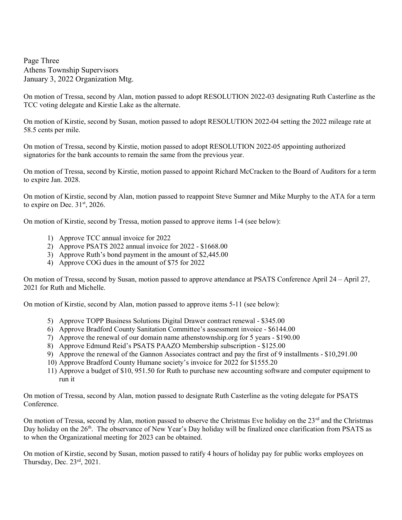Page Three Athens Township Supervisors January 3, 2022 Organization Mtg.

On motion of Tressa, second by Alan, motion passed to adopt RESOLUTION 2022-03 designating Ruth Casterline as the TCC voting delegate and Kirstie Lake as the alternate.

On motion of Kirstie, second by Susan, motion passed to adopt RESOLUTION 2022-04 setting the 2022 mileage rate at 58.5 cents per mile.

On motion of Tressa, second by Kirstie, motion passed to adopt RESOLUTION 2022-05 appointing authorized signatories for the bank accounts to remain the same from the previous year.

On motion of Tressa, second by Kirstie, motion passed to appoint Richard McCracken to the Board of Auditors for a term to expire Jan. 2028.

On motion of Kirstie, second by Alan, motion passed to reappoint Steve Sumner and Mike Murphy to the ATA for a term to expire on Dec.  $31<sup>st</sup>$ , 2026.

On motion of Kirstie, second by Tressa, motion passed to approve items 1-4 (see below):

- 1) Approve TCC annual invoice for 2022
- 2) Approve PSATS 2022 annual invoice for 2022 \$1668.00
- 3) Approve Ruth's bond payment in the amount of \$2,445.00
- 4) Approve COG dues in the amount of \$75 for 2022

On motion of Tressa, second by Susan, motion passed to approve attendance at PSATS Conference April 24 – April 27, 2021 for Ruth and Michelle.

On motion of Kirstie, second by Alan, motion passed to approve items 5-11 (see below):

- 5) Approve TOPP Business Solutions Digital Drawer contract renewal \$345.00
- 6) Approve Bradford County Sanitation Committee's assessment invoice \$6144.00
- 7) Approve the renewal of our domain name athenstownship.org for 5 years \$190.00
- 8) Approve Edmund Reid's PSATS PAAZO Membership subscription \$125.00
- 9) Approve the renewal of the Gannon Associates contract and pay the first of 9 installments \$10,291.00
- 10) Approve Bradford County Humane society's invoice for 2022 for \$1555.20
- 11) Approve a budget of \$10, 951.50 for Ruth to purchase new accounting software and computer equipment to run it

On motion of Tressa, second by Alan, motion passed to designate Ruth Casterline as the voting delegate for PSATS Conference.

On motion of Tressa, second by Alan, motion passed to observe the Christmas Eve holiday on the 23<sup>rd</sup> and the Christmas Day holiday on the 26<sup>th</sup>. The observance of New Year's Day holiday will be finalized once clarification from PSATS as to when the Organizational meeting for 2023 can be obtained.

On motion of Kirstie, second by Susan, motion passed to ratify 4 hours of holiday pay for public works employees on Thursday, Dec.  $23<sup>rd</sup>$ ,  $2021$ .